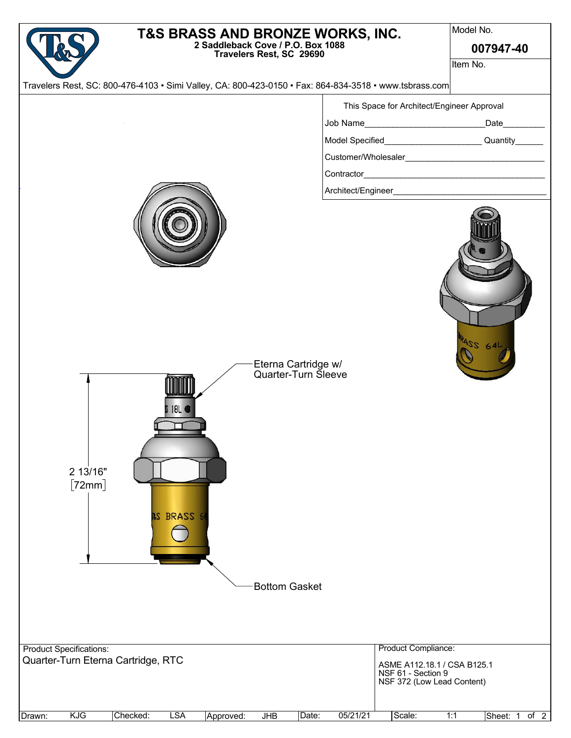